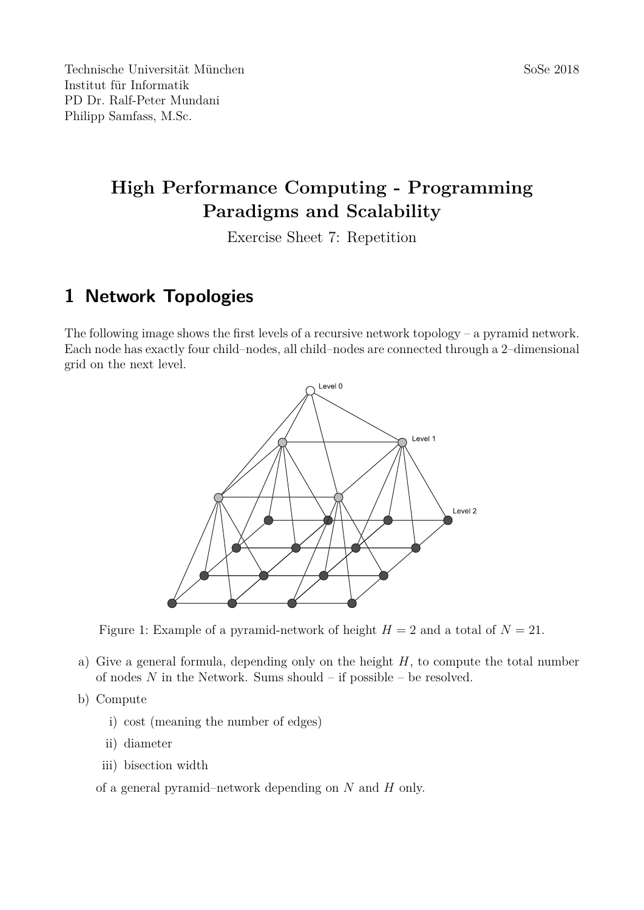# **High Performance Computing - Programming Paradigms and Scalability**

Exercise Sheet 7: Repetition

### **1 Network Topologies**

The following image shows the first levels of a recursive network topology – a pyramid network. Each node has exactly four child–nodes, all child–nodes are connected through a 2–dimensional grid on the next level.



Figure 1: Example of a pyramid-network of height  $H = 2$  and a total of  $N = 21$ .

- a) Give a general formula, depending only on the height *H*, to compute the total number of nodes *N* in the Network. Sums should – if possible – be resolved.
- b) Compute
	- i) cost (meaning the number of edges)
	- ii) diameter
	- iii) bisection width
	- of a general pyramid–network depending on *N* and *H* only.